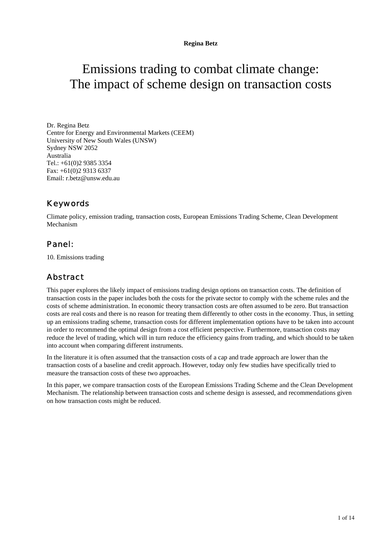# Emissions trading to combat climate change: The impact of scheme design on transaction costs

Dr. Regina Betz Centre for Energy and Environmental Markets (CEEM) University of New South Wales (UNSW) Sydney NSW 2052 Australia Tel.: +61(0)2 9385 3354 Fax: +61(0)2 9313 6337 Email: r.betz@unsw.edu.au

### Keywords

Climate policy, emission trading, transaction costs, European Emissions Trading Scheme, Clean Development Mechanism

### Panel*:*

10. Emissions trading

### Abstract

This paper explores the likely impact of emissions trading design options on transaction costs. The definition of transaction costs in the paper includes both the costs for the private sector to comply with the scheme rules and the costs of scheme administration. In economic theory transaction costs are often assumed to be zero. But transaction costs are real costs and there is no reason for treating them differently to other costs in the economy. Thus, in setting up an emissions trading scheme, transaction costs for different implementation options have to be taken into account in order to recommend the optimal design from a cost efficient perspective. Furthermore, transaction costs may reduce the level of trading, which will in turn reduce the efficiency gains from trading, and which should to be taken into account when comparing different instruments.

In the literature it is often assumed that the transaction costs of a cap and trade approach are lower than the transaction costs of a baseline and credit approach. However, today only few studies have specifically tried to measure the transaction costs of these two approaches.

In this paper, we compare transaction costs of the European Emissions Trading Scheme and the Clean Development Mechanism. The relationship between transaction costs and scheme design is assessed, and recommendations given on how transaction costs might be reduced.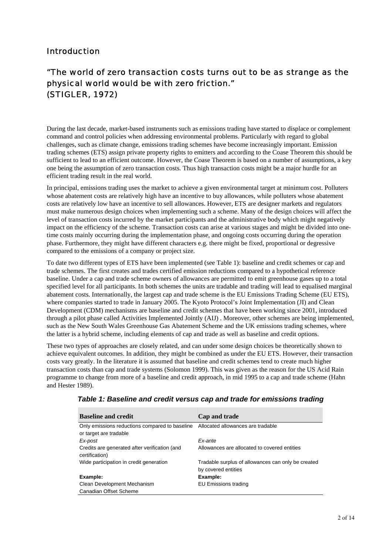### Introduction

## "The world of zero transaction costs turns out to be as strange as the physical world would be with zero friction." (STIGLER, 1972)

During the last decade, market-based instruments such as emissions trading have started to displace or complement command and control policies when addressing environmental problems. Particularly with regard to global challenges, such as climate change, emissions trading schemes have become increasingly important. Emission trading schemes (ETS) assign private property rights to emitters and according to the Coase Theorem this should be sufficient to lead to an efficient outcome. However, the Coase Theorem is based on a number of assumptions, a key one being the assumption of zero transaction costs. Thus high transaction costs might be a major hurdle for an efficient trading result in the real world.

In principal, emissions trading uses the market to achieve a given environmental target at minimum cost. Polluters whose abatement costs are relatively high have an incentive to buy allowances, while polluters whose abatement costs are relatively low have an incentive to sell allowances. However, ETS are designer markets and regulators must make numerous design choices when implementing such a scheme. Many of the design choices will affect the level of transaction costs incurred by the market participants and the administrative body which might negatively impact on the efficiency of the scheme. Transaction costs can arise at various stages and might be divided into onetime costs mainly occurring during the implementation phase, and ongoing costs occurring during the operation phase. Furthermore, they might have different characters e.g. there might be fixed, proportional or degressive compared to the emissions of a company or project size.

To date two different types of ETS have been implemented (see Table 1): baseline and credit schemes or cap and trade schemes. The first creates and trades certified emission reductions compared to a hypothetical reference baseline. Under a cap and trade scheme owners of allowances are permitted to emit greenhouse gases up to a total specified level for all participants. In both schemes the units are tradable and trading will lead to equalised marginal abatement costs. Internationally, the largest cap and trade scheme is the EU Emissions Trading Scheme (EU ETS), where companies started to trade in January 2005. The Kyoto Protocol's Joint Implementation (JI) and Clean Development (CDM) mechanisms are baseline and credit schemes that have been working since 2001, introduced through a pilot phase called Activities Implemented Jointly (AIJ) . Moreover, other schemes are being implemented, such as the New South Wales Greenhouse Gas Abatement Scheme and the UK emissions trading schemes, where the latter is a hybrid scheme, including elements of cap and trade as well as baseline and credit options.

These two types of approaches are closely related, and can under some design choices be theoretically shown to achieve equivalent outcomes. In addition, they might be combined as under the EU ETS. However, their transaction costs vary greatly. In the literature it is assumed that baseline and credit schemes tend to create much higher transaction costs than cap and trade systems (Solomon 1999). This was given as the reason for the US Acid Rain programme to change from more of a baseline and credit approach, in mid 1995 to a cap and trade scheme (Hahn and Hester 1989).

| <b>Baseline and credit</b>                                               | Cap and trade                                                             |
|--------------------------------------------------------------------------|---------------------------------------------------------------------------|
| Only emissions reductions compared to baseline<br>or target are tradable | Allocated allowances are tradable                                         |
| Ex-post                                                                  | Fx-ante                                                                   |
| Credits are generated after verification (and<br>certification)          | Allowances are allocated to covered entities                              |
| Wide participation in credit generation                                  | Tradable surplus of allowances can only be created<br>by covered entities |
| Example:                                                                 | Example:                                                                  |
| Clean Development Mechanism                                              | EU Emissions trading                                                      |
| Canadian Offset Scheme                                                   |                                                                           |

#### *Table 1: Baseline and credit versus cap and trade for emissions trading*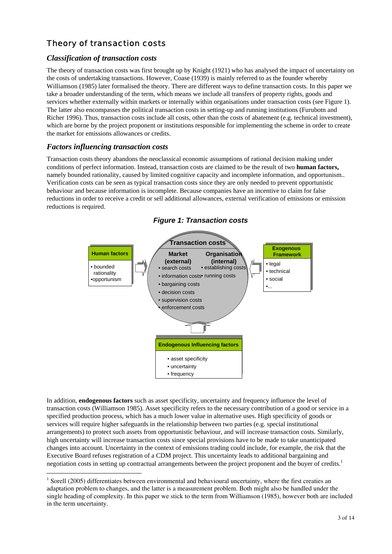## Theory of transaction costs

#### *Classification of transaction costs*

The theory of transaction costs was first brought up by Knight (1921) who has analysed the impact of uncertainty on the costs of undertaking transactions. However, Coase (1939) is mainly referred to as the founder whereby Williamson (1985) later formalised the theory. There are different ways to define transaction costs. In this paper we take a broader understanding of the term, which means we include all transfers of property rights, goods and services whether externally within markets or internally within organisations under transaction costs (see Figure 1). The latter also encompasses the political transaction costs in setting-up and running institutions (Furubotn and Richer 1996). Thus, transaction costs include all costs, other than the costs of abatement (e.g. technical investment), which are borne by the project proponent or institutions responsible for implementing the scheme in order to create the market for emissions allowances or credits.

#### *Factors influencing transaction costs*

 $\overline{a}$ 

Transaction costs theory abandons the neoclassical economic assumptions of rational decision making under conditions of perfect information. Instead, transaction costs are claimed to be the result of two **human factors,** namely bounded rationality, caused by limited cognitive capacity and incomplete information, and opportunism.. Verification costs can be seen as typical transaction costs since they are only needed to prevent opportunistic behaviour and because information is incomplete. Because companies have an incentive to claim for false reductions in order to receive a credit or sell additional allowances, external verification of emissions or emission reductions is required.



*Figure 1: Transaction costs* 

In addition, **endogenous factors** such as asset specificity, uncertainty and frequency influence the level of transaction costs (Williamson 1985). Asset specificity refers to the necessary contribution of a good or service in a specified production process, which has a much lower value in alternative uses. High specificity of goods or services will require higher safeguards in the relationship between two parties (e.g. special institutional arrangements) to protect such assets from opportunistic behaviour, and will increase transaction costs. Similarly, high uncertainty will increase transaction costs since special provisions have to be made to take unanticipated changes into account. Uncertainty in the context of emissions trading could include, for example, the risk that the Executive Board refuses registration of a CDM project. This uncertainty leads to additional bargaining and negotiation costs in setting up contractual arrangements between the project proponent and the buyer of credits.<sup>1</sup>

<sup>&</sup>lt;sup>1</sup> Sorell (2005) differentiates between environmental and behavioural uncertainty, where the first creaties an adaptation problem to changes, and the latter is a measurement problem. Both might also be handled under the single heading of complexity. In this paper we stick to the term from Williamson (1985), however both are included in the term uncertainty.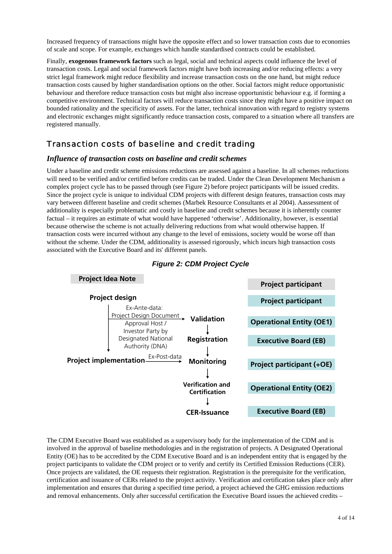Increased frequency of transactions might have the opposite effect and so lower transaction costs due to economies of scale and scope. For example, exchanges which handle standardised contracts could be established.

Finally, **exogenous framework factors** such as legal, social and technical aspects could influence the level of transaction costs. Legal and social framework factors might have both increasing and/or reducing effects: a very strict legal framework might reduce flexibility and increase transaction costs on the one hand, but might reduce transaction costs caused by higher standardisation options on the other. Social factors might reduce opportunistic behaviour and therefore reduce transaction costs but might also increase opportunistic behaviour e.g. if forming a competitive environment. Technical factors will reduce transaction costs since they might have a positive impact on bounded rationality and the specificity of assets. For the latter, technical innovation with regard to registry systems and electronic exchanges might significantly reduce transaction costs, compared to a situation where all transfers are registered manually.

### Transaction costs of baseline and credit trading

#### *Influence of transaction costs on baseline and credit schemes*

Under a baseline and credit scheme emissions reductions are assessed against a baseline. In all schemes reductions will need to be verified and/or certified before credits can be traded. Under the Clean Development Mechanism a complex project cycle has to be passed through (see Figure 2) before project participants will be issued credits. Since the project cycle is unique to individual CDM projects with different design features, transaction costs may vary between different baseline and credit schemes (Marbek Resource Consultants et al 2004). Aassessment of additionality is especially problematic and costly in baseline and credit schemes because it is inherently counter factual – it requires an estimate of what would have happened 'otherwise'. Additionality, however, is essential because otherwise the scheme is not actually delivering reductions from what would otherwise happen. If transaction costs were incurred without any change to the level of emissions, society would be worse off than without the scheme. Under the CDM, additionality is assessed rigorously, which incurs high transaction costs associated with the Executive Board and its' different panels.





The CDM Executive Board was established as a supervisory body for the implementation of the CDM and is involved in the approval of baseline methodologies and in the registration of projects. A Designated Operational Entity (OE) has to be accredited by the CDM Executive Board and is an independent entity that is engaged by the project participants to validate the CDM project or to verify and certify its Certified Emission Reductions (CER). Once projects are validated, the OE requests their registration. Registration is the prerequisite for the verification, certification and issuance of CERs related to the project activity. Verification and certification takes place only after implementation and ensures that during a specified time period, a project achieved the GHG emission reductions and removal enhancements. Only after successful certification the Executive Board issues the achieved credits –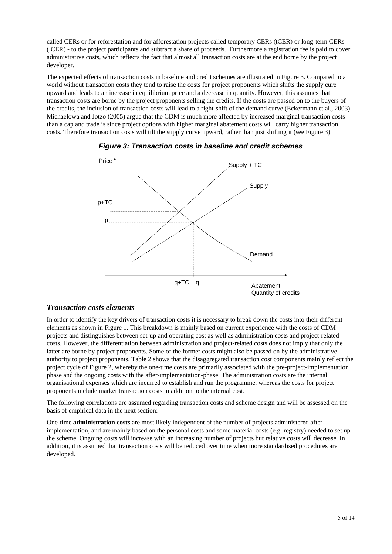called CERs or for reforestation and for afforestation projects called temporary CERs (tCER) or long-term CERs (lCER) - to the project participants and subtract a share of proceeds. Furthermore a registration fee is paid to cover administrative costs, which reflects the fact that almost all transaction costs are at the end borne by the project developer.

The expected effects of transaction costs in baseline and credit schemes are illustrated in Figure 3. Compared to a world without transaction costs they tend to raise the costs for project proponents which shifts the supply cure upward and leads to an increase in equilibrium price and a decrease in quantity. However, this assumes that transaction costs are borne by the project proponents selling the credits. If the costs are passed on to the buyers of the credits, the inclusion of transaction costs will lead to a right-shift of the demand curve (Eckermann et al., 2003). Michaelowa and Jotzo (2005) argue that the CDM is much more affected by increased marginal transaction costs than a cap and trade is since project options with higher marginal abatement costs will carry higher transaction costs. Therefore transaction costs will tilt the supply curve upward, rather than just shifting it (see Figure 3).



*Figure 3: Transaction costs in baseline and credit schemes* 

#### *Transaction costs elements*

In order to identify the key drivers of transaction costs it is necessary to break down the costs into their different elements as shown in Figure 1. This breakdown is mainly based on current experience with the costs of CDM projects and distinguishes between set-up and operating cost as well as administration costs and project-related costs. However, the differentiation between administration and project-related costs does not imply that only the latter are borne by project proponents. Some of the former costs might also be passed on by the administrative authority to project proponents. Table 2 shows that the disaggregated transaction cost components mainly reflect the project cycle of Figure 2, whereby the one-time costs are primarily associated with the pre-project-implementation phase and the ongoing costs with the after-implementation-phase. The administration costs are the internal organisational expenses which are incurred to establish and run the programme, whereas the costs for project proponents include market transaction costs in addition to the internal cost.

The following correlations are assumed regarding transaction costs and scheme design and will be assessed on the basis of empirical data in the next section:

One-time **administration costs** are most likely independent of the number of projects administered after implementation, and are mainly based on the personal costs and some material costs (e.g. registry) needed to set up the scheme. Ongoing costs will increase with an increasing number of projects but relative costs will decrease. In addition, it is assumed that transaction costs will be reduced over time when more standardised procedures are developed.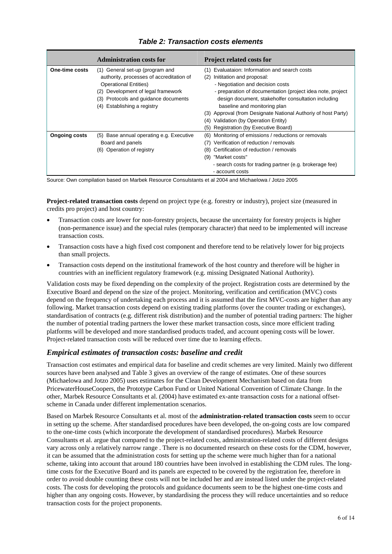#### **Administration costs for Project related costs for One-time costs** (1) General set-up (program and authority, processes of accreditation of Operational Entities) (2) Development of legal framework (3) Protocols and guidance documents (4) Establishing a registry (1) Evaluataion: Information and search costs (2) Inititation and proposal: - Negotiation and decision costs - preparation of documentation (project idea note, project design document, stakeholfer consultation including baseline and monitoring plan (3) Approval (from Designate National Authoriy of host Party) (4) Validation (by Operation Entity) (5) Registration (by Executive Board) **Ongoing costs** (5) Base annual operating e.g. Executive Board and panels (6) Operation of registry (6) Monitoring of emissions / reductions or removals (7) Verification of reduction / removals (8) Certification of reduction / removals (9) "Market costs" - search costs for trading partner (e.g. brokerage fee) - account costs

#### *Table 2: Transaction costs elements*

Source: Own compilation based on Marbek Resource Consulstants et al 2004 and Michaelowa / Jotzo 2005

**Project-related transaction costs** depend on project type (e.g. forestry or industry), project size (measured in credits pro project) and host country:

- Transaction costs are lower for non-forestry projects, because the uncertainty for forestry projects is higher (non-permanence issue) and the special rules (temporary character) that need to be implemented will increase transaction costs.
- Transaction costs have a high fixed cost component and therefore tend to be relatively lower for big projects than small projects.
- Transaction costs depend on the institutional framework of the host country and therefore will be higher in countries with an inefficient regulatory framework (e.g. missing Designated National Authority).

Validation costs may be fixed depending on the complexity of the project. Registration costs are determined by the Executive Board and depend on the size of the project. Monitoring, verification and certification (MVC) costs depend on the frequency of undertaking each process and it is assumed that the first MVC-costs are higher than any following. Market transaction costs depend on existing trading platforms (over the counter trading or exchanges), standardisation of contracts (e.g. different risk distribution) and the number of potential trading partners: The higher the number of potential trading partners the lower these market transaction costs, since more efficient trading platforms will be developed and more standardised products traded, and account opening costs will be lower. Project-related transaction costs will be reduced over time due to learning effects.

#### *Empirical estimates of transaction costs: baseline and credit*

Transaction cost estimates and empirical data for baseline and credit schemes are very limited. Mainly two different sources have been analysed and Table 3 gives an overview of the range of estimates. One of these sources (Michaelowa and Jotzo 2005) uses estimates for the Clean Development Mechanism based on data from PricewaterHouseCoopers, the Prototype Carbon Fund or United National Convention of Climate Change. In the other, Marbek Resource Consultants et al. (2004) have estimated ex-ante transaction costs for a national offsetscheme in Canada under different implementation scenarios.

Based on Marbek Resource Consultants et al. most of the **administration-related transaction costs** seem to occur in setting up the scheme. After standardised procedures have been developed, the on-going costs are low compared to the one-time costs (which incorporate the development of standardised procedures). Marbek Resource Consultants et al. argue that compared to the project-related costs, administration-related costs of different designs vary across only a relatively narrow range . There is no documented research on these costs for the CDM, however, it can be assumed that the administration costs for setting up the scheme were much higher than for a national scheme, taking into account that around 180 countries have been involved in establishing the CDM rules. The longtime costs for the Executive Board and its panels are expected to be covered by the registration fee, therefore in order to avoid double counting these costs will not be included her and are instead listed under the project-related costs. The costs for developing the protocols and guidance documents seem to be the highest one-time costs and higher than any ongoing costs. However, by standardising the process they will reduce uncertainties and so reduce transaction costs for the project proponents.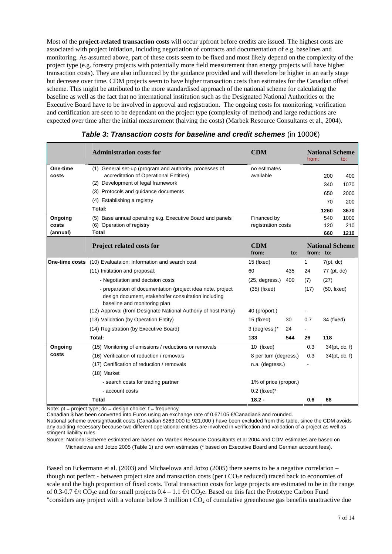Most of the **project-related transaction costs** will occur upfront before credits are issued. The highest costs are associated with project initiation, including negotiation of contracts and documentation of e.g. baselines and monitoring. As assumed above, part of these costs seem to be fixed and most likely depend on the complexity of the project type (e.g. forestry projects with potentially more field measurement than energy projects will have higher transaction costs). They are also influenced by the guidance provided and will therefore be higher in an early stage but decrease over time. CDM projects seem to have higher transaction costs than estimates for the Canadian offset scheme. This might be attributed to the more standardised approach of the national scheme for calculating the baseline as well as the fact that no international institution such as the Designated National Authorities or the Executive Board have to be involved in approval and registration. The ongoing costs for monitoring, verification and certification are seen to be dependant on the project type (complexity of method) and large reductions are expected over time after the initial measurement (halving the costs) (Marbek Resource Consultants et al., 2004).

|                | <b>Administration costs for</b>                                                                                                                   | <b>CDM</b>            |     | from: |             | <b>National Scheme</b><br>to: |
|----------------|---------------------------------------------------------------------------------------------------------------------------------------------------|-----------------------|-----|-------|-------------|-------------------------------|
| One-time       | (1) General set-up (program and authority, processes of                                                                                           | no estimates          |     |       |             |                               |
| costs          | accreditation of Operational Entities)                                                                                                            | available             |     |       | 200         | 400                           |
|                | (2) Development of legal framework                                                                                                                |                       |     |       | 340         | 1070                          |
|                | (3) Protocols and guidance documents                                                                                                              |                       |     |       | 650         | 2000                          |
|                | (4) Establishing a registry                                                                                                                       |                       |     |       | 70          | 200                           |
|                | Total:                                                                                                                                            |                       |     |       | 1260        | 3670                          |
| Ongoing        | (5) Base annual operating e.g. Executive Board and panels                                                                                         | Financed by           |     |       | 540         | 1000                          |
| costs          | (6) Operation of registry                                                                                                                         | registration costs    |     |       | 120         | 210                           |
| (annual)       | <b>Total</b>                                                                                                                                      |                       |     |       | 660         | 1210                          |
|                | <b>Project related costs for</b>                                                                                                                  | <b>CDM</b><br>from:   | to: |       | from: to:   | <b>National Scheme</b>        |
| One-time costs | (10) Evaluataion: Information and search cost                                                                                                     | 15 (fixed)            |     | 1     | 7(pt, dc)   |                               |
|                | (11) Inititation and proposal:                                                                                                                    | 60                    | 435 | 24    | 77 (pt, dc) |                               |
|                | - Negotiation and decision costs                                                                                                                  | (25, degrees.)        | 400 | (7)   | (27)        |                               |
|                | - preparation of documentation (project idea note, project<br>design document, stakeholfer consultation including<br>baseline and monitoring plan | $(35)$ (fixed)        |     | (17)  | (50, fixed) |                               |
|                | (12) Approval (from Designate National Authoriy of host Party)                                                                                    | 40 (proport.)         |     |       |             |                               |
|                | (13) Validation (by Operation Entity)                                                                                                             | 15 (fixed)            | 30  | 0.7   | 34 (fixed)  |                               |
|                | (14) Registration (by Executive Board)                                                                                                            | 3 (degress.)*         | 24  |       |             |                               |
|                | Total:                                                                                                                                            | 133                   | 544 | 26    | 118         |                               |
| Ongoing        | (15) Monitoring of emissions / reductions or removals                                                                                             | 10 (fixed)            |     | 0.3   |             | 34(pt, dc, f)                 |
| costs          | (16) Verification of reduction / removals                                                                                                         | 8 per turn (degress.) |     | 0.3   |             | 34(pt, dc, f)                 |
|                | (17) Certification of reduction / removals                                                                                                        | n.a. (degress.)       |     |       |             |                               |
|                | (18) Market                                                                                                                                       |                       |     |       |             |                               |
|                | - search costs for trading partner                                                                                                                | 1% of price (propor.) |     |       |             |                               |
|                | - account costs                                                                                                                                   | $0.2$ (fixed)*        |     |       |             |                               |
|                | <b>Total</b>                                                                                                                                      | $18.2 -$              |     | 0.6   | 68          |                               |

| Table 3: Transaction costs for baseline and credit schemes (in $1000 \in$ ) |  |  |  |
|-----------------------------------------------------------------------------|--|--|--|
|                                                                             |  |  |  |

Note:  $pt = project$  type;  $dc = design$  choice;  $f = frequency$ 

Canadian \$ has been converted into Euros using an exchange rate of 0.67105 €/Canadian\$ and rounded. National scheme oversight/audit costs (Canadian \$263,000 to 921,000 ) have been excluded from this table, since the CDM avoids any auditing necessary because two different operational entities are involved in verification and validation of a project as well as stingent liability rules.

Source: National Scheme estimated are based on Marbek Resource Consultants et al 2004 and CDM estimates are based on Michaelowa and Jotzo 2005 (Table 1) and own estimates (\* based on Executive Board and German account fees).

Based on Eckermann et al. (2003) and Michaelowa and Jotzo (2005) there seems to be a negative correlation – though not perfect - between project size and transaction costs (per  $t$  CO<sub>2</sub>e reduced) traced back to economies of scale and the high proportion of fixed costs. Total transaction costs for large projects are estimated to be in the range of 0.3-0.7  $\epsilon t$  CO<sub>2</sub>e and for small projects 0.4 – 1.1  $\epsilon t$  CO<sub>2</sub>e. Based on this fact the Prototype Carbon Fund "considers any project with a volume below 3 million  $t CO<sub>2</sub>$  of cumulative greenhouse gas benefits unattractive due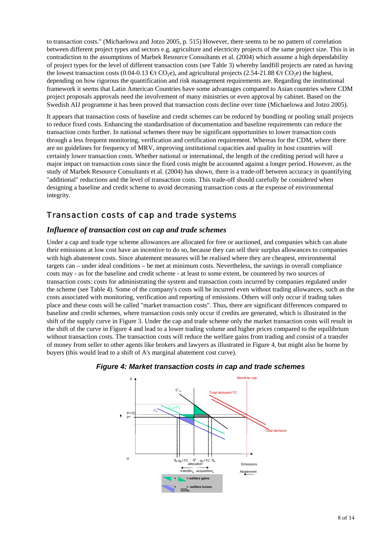to transaction costs." (Michaelowa and Jotzo 2005, p. 515) However, there seems to be no pattern of correlation between different project types and sectors e.g. agriculture and electricity projects of the same project size. This is in contradiction to the assumptions of Marbek Resource Consultants et al. (2004) which assume a high dependability of project types for the level of different transaction costs (see Table 3) whereby landfill projects are rated as having the lowest transaction costs (0.04-0.13  $\oplus$ t CO<sub>2</sub>e), and agricultural projects (2.54-21.88  $\oplus$ t CO<sub>2</sub>e) the highest, depending on how rigorous the quantification and risk management requirements are. Regarding the institutional framework it seems that Latin American Countries have some advantages compared to Asian countries where CDM project proposals approvals need the involvement of many ministries or even approval by cabinet. Based on the Swedish AIJ programme it has been proved that transaction costs decline over time (Michaelowa and Jotzo 2005).

It appears that transaction costs of baseline and credit schemes can be reduced by bundling or pooling small projects to reduce fixed costs. Enhancing the standardisation of documentation and baseline requirements can reduce the transaction costs further. In national schemes there may be significant opportunities to lower transaction costs through a less frequent monitoring, verification and certification requirement. Whereas for the CDM, where there are no guidelines for frequency of MRV, improving institutional capacities and quality in host countries will certainly lower transaction costs. Whether national or international, the length of the crediting period will have a major impact on transaction costs since the fixed costs might be accounted against a longer period. However, as the study of Marbek Resource Consultants et al. (2004) has shown, there is a trade-off between accuracy in quantifying "additional" reductions and the level of transaction costs. This trade-off should carefully be considered when designing a baseline and credit scheme to avoid decreasing transaction costs at the expense of environmental integrity.

### Transaction costs of cap and trade systems

#### *Influence of transaction cost on cap and trade schemes*

Under a cap and trade type scheme allowances are allocated for free or auctioned, and companies which can abate their emissions at low cost have an incentive to do so, because they can sell their surplus allowances to companies with high abatement costs. Since abatement measures will be realised where they are cheapest, environmental targets can – under ideal conditions – be met at minimum costs. Nevertheless, the savings in overall compliance costs may - as for the baseline and credit scheme - at least to some extent, be countered by two sources of transaction costs: costs for administrating the system and transaction costs incurred by companies regulated under the scheme (see Table 4). Some of the company's costs will be incurred even without trading allowances, such as the costs associated with monitoring, verification and reporting of emissions. Others will only occur if trading takes place and these costs will be called "market transaction costs". Thus, there are significant differences compared to baseline and credit schemes, where transaction costs only occur if credits are generated, which is illustrated in the shift of the supply curve in Figure 3. Under the cap and trade scheme only the market transaction costs will result in the shift of the curve in Figure 4 and lead to a lower trading volume and higher prices compared to the equilibrium without transaction costs. The transaction costs will reduce the welfare gains from trading and consist of a transfer of money from seller to other agents like brokers and lawyers as illustrated in Figure 4, but might also be borne by buyers (this would lead to a shift of A's marginal abatement cost curve).



#### *Figure 4: Market transaction costs in cap and trade schemes*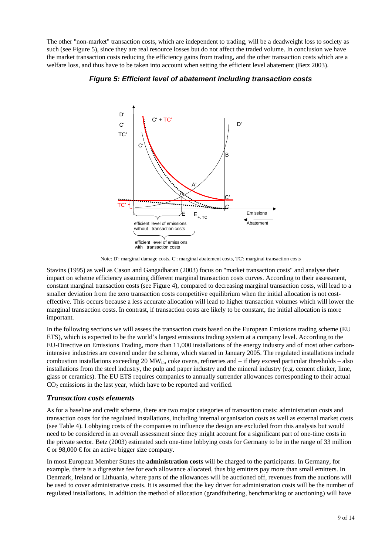The other "non-market" transaction costs, which are independent to trading, will be a deadweight loss to society as such (see Figure 5), since they are real resource losses but do not affect the traded volume. In conclusion we have the market transaction costs reducing the efficiency gains from trading, and the other transaction costs which are a welfare loss, and thus have to be taken into account when setting the efficient level abatement (Betz 2003).



#### *Figure 5: Efficient level of abatement including transaction costs*

Note: D': marginal damage costs, C': marginal abatement costs, TC': marginal transaction costs

Stavins (1995) as well as Cason and Gangadharan (2003) focus on "market transaction costs" and analyse their impact on scheme efficiency assuming different marginal transaction costs curves. According to their assessment, constant marginal transaction costs (see Figure 4), compared to decreasing marginal transaction costs, will lead to a smaller deviation from the zero transaction costs competitive equilibrium when the initial allocation is not costeffective. This occurs because a less accurate allocation will lead to higher transaction volumes which will lower the marginal transaction costs. In contrast, if transaction costs are likely to be constant, the initial allocation is more important.

In the following sections we will assess the transaction costs based on the European Emissions trading scheme (EU ETS), which is expected to be the world's largest emissions trading system at a company level. According to the EU-Directive on Emissions Trading, more than 11,000 installations of the energy industry and of most other carbonintensive industries are covered under the scheme, which started in January 2005. The regulated installations include combustion installations exceeding 20 MW<sub>th</sub>, coke ovens, refineries and – if they exceed particular thresholds – also installations from the steel industry, the pulp and paper industry and the mineral industry (e.g. cement clinker, lime, glass or ceramics). The EU ETS requires companies to annually surrender allowances corresponding to their actual  $CO<sub>2</sub>$  emissions in the last year, which have to be reported and verified.

#### *Transaction costs elements*

As for a baseline and credit scheme, there are two major categories of transaction costs: administration costs and transaction costs for the regulated installations, including internal organisation costs as well as external market costs (see Table 4). Lobbying costs of the companies to influence the design are excluded from this analysis but would need to be considered in an overall assessment since they might account for a significant part of one-time costs in the private sector. Betz (2003) estimated such one-time lobbying costs for Germany to be in the range of 33 million  $\epsilon$  or 98,000  $\epsilon$  for an active bigger size company.

In most European Member States the **administration costs** will be charged to the participants. In Germany, for example, there is a digressive fee for each allowance allocated, thus big emitters pay more than small emitters. In Denmark, Ireland or Lithuania, where parts of the allowances will be auctioned off, revenues from the auctions will be used to cover administrative costs. It is assumed that the key driver for administration costs will be the number of regulated installations. In addition the method of allocation (grandfathering, benchmarking or auctioning) will have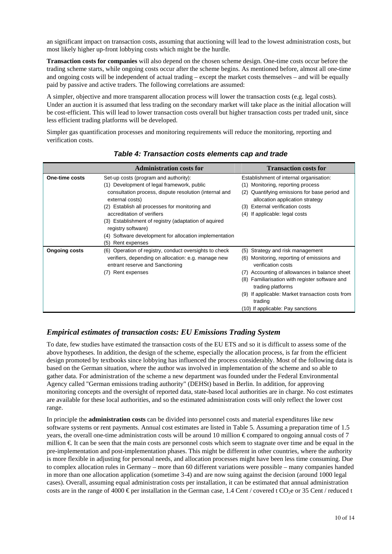an significant impact on transaction costs, assuming that auctioning will lead to the lowest administration costs, but most likely higher up-front lobbying costs which might be the hurdle.

**Transaction costs for companies** will also depend on the chosen scheme design. One-time costs occur before the trading scheme starts, while ongoing costs occur after the scheme begins. As mentioned before, almost all one-time and ongoing costs will be independent of actual trading – except the market costs themselves – and will be equally paid by passive and active traders. The following correlations are assumed:

A simpler, objective and more transparent allocation process will lower the transaction costs (e.g. legal costs). Under an auction it is assumed that less trading on the secondary market will take place as the initial allocation will be cost-efficient. This will lead to lower transaction costs overall but higher transaction costs per traded unit, since less efficient trading platforms will be developed.

Simpler gas quantification processes and monitoring requirements will reduce the monitoring, reporting and verification costs.

|                      | <b>Administration costs for</b>                                                                                                                                                                                    | <b>Transaction costs for</b>                                                                                                                                                                                                                                                                                                                 |
|----------------------|--------------------------------------------------------------------------------------------------------------------------------------------------------------------------------------------------------------------|----------------------------------------------------------------------------------------------------------------------------------------------------------------------------------------------------------------------------------------------------------------------------------------------------------------------------------------------|
| One-time costs       | Set-up costs (program and authority):<br>(1) Development of legal framework, public<br>consultation process, dispute resolution (internal and<br>external costs)<br>(2) Establish all processes for monitoring and | Establishment of internal organisation:<br>(1) Monitoring, reporting process<br>Quantifying emissions for base period and<br>(2)<br>allocation application strategy<br><b>External verification costs</b><br>(3)                                                                                                                             |
|                      | accreditation of verifiers<br>(3) Establishment of registry (adaptation of aquired<br>registry software)<br>(4) Software development for allocation implementation<br>(5)<br>Rent expenses                         | If applicable: legal costs<br>(4)                                                                                                                                                                                                                                                                                                            |
| <b>Ongoing costs</b> | (6) Operation of registry, conduct oversights to check<br>verifiers, depending on allocation: e.g. manage new<br>entrant reserve and Sanctioning<br>Rent expenses<br>(7)                                           | Strategy and risk management<br>(5)<br>Monitoring, reporting of emissions and<br>(6)<br>verification costs<br>Accounting of allowances in balance sheet<br>(7)<br>Familiarisation with register software and<br>(8)<br>trading platforms<br>(9) If applicable: Market transaction costs from<br>trading<br>(10) If applicable: Pay sanctions |

#### *Table 4: Transaction costs elements cap and trade*

#### *Empirical estimates of transaction costs: EU Emissions Trading System*

To date, few studies have estimated the transaction costs of the EU ETS and so it is difficult to assess some of the above hypotheses. In addition, the design of the scheme, especially the allocation process, is far from the efficient design promoted by textbooks since lobbying has influenced the process considerably. Most of the following data is based on the German situation, where the author was involved in implementation of the scheme and so able to gather data. For administration of the scheme a new department was founded under the Federal Environmental Agency called "German emissions trading authority" (DEHSt) based in Berlin. In addition, for approving monitoring concepts and the oversight of reported data, state-based local authorities are in charge. No cost estimates are available for these local authorities, and so the estimated administration costs will only reflect the lower cost range.

In principle the **administration costs** can be divided into personnel costs and material expenditures like new software systems or rent payments. Annual cost estimates are listed in Table 5. Assuming a preparation time of 1.5 years, the overall one-time administration costs will be around 10 million  $\epsilon$  compared to ongoing annual costs of 7 million €. It can be seen that the main costs are personnel costs which seem to stagnate over time and be equal in the pre-implementation and post-implementation phases. This might be different in other countries, where the authority is more flexible in adjusting for personal needs, and allocation processes might have been less time consuming. Due to complex allocation rules in Germany – more than 60 different variations were possible – many companies handed in more than one allocation application (sometime 3-4) and are now suing against the decision (around 1000 legal cases). Overall, assuming equal administration costs per installation, it can be estimated that annual administration costs are in the range of 4000 € per installation in the German case, 1.4 Cent / covered t CO<sub>2</sub>e or 35 Cent / reduced t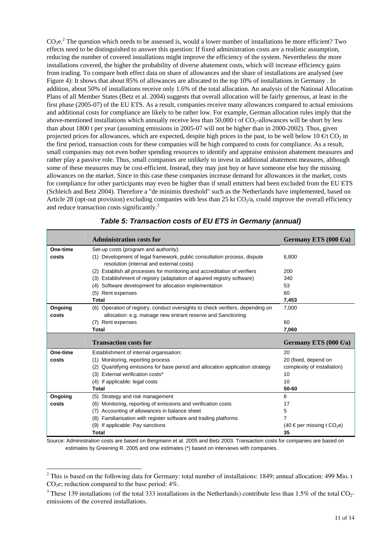$CO_2e<sup>2</sup>$ . The question which needs to be assessed is, would a lower number of installations be more efficient? Two effects need to be distinguished to answer this question: If fixed administration costs are a realistic assumption, reducing the number of covered installations might improve the efficiency of the system. Nevertheless the more installations covered, the higher the probability of diverse abatement costs, which will increase efficiency gains from trading. To compare both effect data on share of allowances and the share of installations are analysed (see Figure 4): It shows that about 85% of allowances are allocated to the top 10% of installations in Germany . In addition, about 50% of installations receive only 1.6% of the total allocation. An analysis of the National Allocation Plans of all Member States (Betz et al. 2004) suggests that overall allocation will be fairly generous, at least in the first phase (2005-07) of the EU ETS. As a result, companies receive many allowances compared to actual emissions and additional costs for compliance are likely to be rather low. For example, German allocation rules imply that the above-mentioned installations which annually receive less than 50,000 t of CO<sub>2</sub>-allowances will be short by less than about 1800 t per year (assuming emissions in 2005-07 will not be higher than in 2000-2002). Thus, given projected prices for allowances, which are expected, despite high prices in the past, to be well below 10  $\epsilon t$  CO<sub>2</sub> in the first period, transaction costs for these companies will be high compared to costs for compliance. As a result, small companies may not even bother spending resources to identify and appraise emission abatement measures and rather play a passive role. Thus, small companies are unlikely to invest in additional abatement measures, although some of these measures may be cost-efficient. Instead, they may just buy or have someone else buy the missing allowances on the market. Since in this case these companies increase demand for allowances in the market, costs for compliance for other participants may even be higher than if small emitters had been excluded from the EU ETS (Schleich and Betz 2004). Therefore a "de minimis threshold" such as the Netherlands have implemented, based on Article 28 (opt-out provision) excluding companies with less than 25 kt  $CO<sub>2</sub>/a$ , could improve the overall efficiency and reduce transaction costs significantly.<sup>3</sup>

|          | <b>Administration costs for</b>                                                                                      | Germany ETS $(000 \,\Theta a)$             |
|----------|----------------------------------------------------------------------------------------------------------------------|--------------------------------------------|
| One-time | Set-up costs (program and authority):                                                                                |                                            |
| costs    | (1) Development of legal framework, public consultation process, dispute<br>resolution (internal and external costs) | 6.800                                      |
|          | (2) Establish all processes for monitoring and accreditation of verifiers                                            | 200                                        |
|          | (3) Establishment of registry (adaptation of aquired registry software)                                              | 340                                        |
|          | (4) Software development for allocation implementation                                                               | 53                                         |
|          | (5) Rent expenses                                                                                                    | 60                                         |
|          | Total                                                                                                                | 7,453                                      |
| Ongoing  | (6) Operation of registry, conduct oversights to check verifiers, depending on                                       | 7,000                                      |
| costs    | allocation: e.g. manage new entrant reserve and Sanctioning                                                          |                                            |
|          | (7) Rent expenses                                                                                                    | 60                                         |
|          | Total                                                                                                                | 7,060                                      |
|          |                                                                                                                      |                                            |
|          |                                                                                                                      |                                            |
|          | <b>Transaction costs for</b>                                                                                         | Germany ETS $(000 \,\Theta a)$             |
| One-time | Establishment of internal organisation:                                                                              | 20                                         |
| costs    | (1) Monitoring, reporting process                                                                                    | 20 (fixed, depend on                       |
|          | (2) Quantifying emissions for base period and allocation application strategy                                        | complexity of installation)                |
|          | (3) External verification costs*                                                                                     | 10                                         |
|          | (4) If applicable: legal costs                                                                                       | 10                                         |
|          | Total                                                                                                                | 50-60                                      |
| Ongoing  | (5) Strategy and risk management                                                                                     | 6                                          |
| costs    | (6) Monitoring, reporting of emissions and verification costs                                                        | 17                                         |
|          | Accounting of allowances in balance sheet<br>(7)                                                                     | 5                                          |
|          | (8) Familiarisation with register software and trading platforms                                                     | 7                                          |
|          | (9) If applicable: Pay sanctions                                                                                     | $(40 \in$ per missing t CO <sub>2</sub> e) |

### *Table 5: Transaction costs of EU ETS in Germany (annual)*

Source: Administration costs are based on Bergmann et al. 2005 and Betz 2003. Transaction costs for companies are based on estimates by Greening R. 2005 and onw estimates (\*) based on interviews with companies.

 $\overline{a}$ 

<sup>&</sup>lt;sup>2</sup> This is based on the following data for Germany: total number of installations: 1849; annual allocation: 499 Mio. t  $CO<sub>2</sub>e$ ; reduction compared to the base period:  $4\%$ .

 $3$  These 139 installations (of the total 333 installations in the Netherlands) contribute less than 1.5% of the total CO<sub>2</sub>emissions of the covered installations.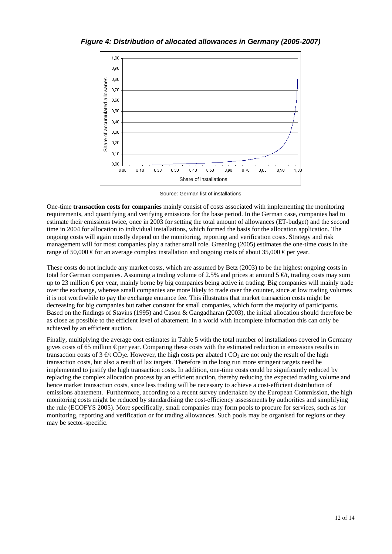*Figure 4: Distribution of allocated allowances in Germany (2005-2007)* 



Source: German list of installations

One-time **transaction costs for companies** mainly consist of costs associated with implementing the monitoring requirements, and quantifying and verifying emissions for the base period. In the German case, companies had to estimate their emissions twice, once in 2003 for setting the total amount of allowances (ET-budget) and the second time in 2004 for allocation to individual installations, which formed the basis for the allocation application. The ongoing costs will again mostly depend on the monitoring, reporting and verification costs. Strategy and risk management will for most companies play a rather small role. Greening (2005) estimates the one-time costs in the range of 50,000 € for an average complex installation and ongoing costs of about 35,000 € per year.

These costs do not include any market costs, which are assumed by Betz (2003) to be the highest ongoing costs in total for German companies. Assuming a trading volume of 2.5% and prices at around  $5 \in \mathfrak{t}$ , trading costs may sum up to 23 million € per year, mainly borne by big companies being active in trading. Big companies will mainly trade over the exchange, whereas small companies are more likely to trade over the counter, since at low trading volumes it is not worthwhile to pay the exchange entrance fee. This illustrates that market transaction costs might be decreasing for big companies but rather constant for small companies, which form the majority of participants. Based on the findings of Stavins (1995) and Cason & Gangadharan (2003), the initial allocation should therefore be as close as possible to the efficient level of abatement. In a world with incomplete information this can only be achieved by an efficient auction.

Finally, multiplying the average cost estimates in Table 5 with the total number of installations covered in Germany gives costs of 65 million  $\epsilon$  per year. Comparing these costs with the estimated reduction in emissions results in transaction costs of  $3 \notin \mathcal{C}O_{2}$ . However, the high costs per abated t CO<sub>2</sub> are not only the result of the high transaction costs, but also a result of lax targets. Therefore in the long run more stringent targets need be implemented to justify the high transaction costs. In addition, one-time costs could be significantly reduced by replacing the complex allocation process by an efficient auction, thereby reducing the expected trading volume and hence market transaction costs, since less trading will be necessary to achieve a cost-efficient distribution of emissions abatement. Furthermore, according to a recent survey undertaken by the European Commission, the high monitoring costs might be reduced by standardising the cost-efficiency assessments by authorities and simplifying the rule (ECOFYS 2005). More specifically, small companies may form pools to procure for services, such as for monitoring, reporting and verification or for trading allowances. Such pools may be organised for regions or they may be sector-specific.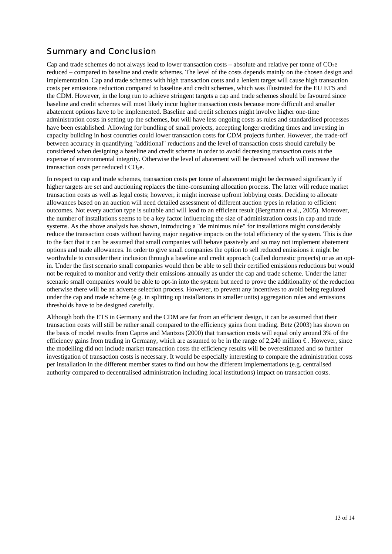### *Summary and Conclusion*

Cap and trade schemes do not always lead to lower transaction costs – absolute and relative per tonne of  $CO<sub>2</sub>$ e reduced – compared to baseline and credit schemes. The level of the costs depends mainly on the chosen design and implementation. Cap and trade schemes with high transaction costs and a lenient target will cause high transaction costs per emissions reduction compared to baseline and credit schemes, which was illustrated for the EU ETS and the CDM. However, in the long run to achieve stringent targets a cap and trade schemes should be favoured since baseline and credit schemes will most likely incur higher transaction costs because more difficult and smaller abatement options have to be implemented. Baseline and credit schemes might involve higher one-time administration costs in setting up the schemes, but will have less ongoing costs as rules and standardised processes have been established. Allowing for bundling of small projects, accepting longer crediting times and investing in capacity building in host countries could lower transaction costs for CDM projects further. However, the trade-off between accuracy in quantifying "additional" reductions and the level of transaction costs should carefully be considered when designing a baseline and credit scheme in order to avoid decreasing transaction costs at the expense of environmental integrity. Otherwise the level of abatement will be decreased which will increase the transaction costs per reduced t  $CO<sub>2</sub>e$ .

In respect to cap and trade schemes, transaction costs per tonne of abatement might be decreased significantly if higher targets are set and auctioning replaces the time-consuming allocation process. The latter will reduce market transaction costs as well as legal costs; however, it might increase upfront lobbying costs. Deciding to allocate allowances based on an auction will need detailed assessment of different auction types in relation to efficient outcomes. Not every auction type is suitable and will lead to an efficient result (Bergmann et al., 2005). Moreover, the number of installations seems to be a key factor influencing the size of administration costs in cap and trade systems. As the above analysis has shown, introducing a "de minimus rule" for installations might considerably reduce the transaction costs without having major negative impacts on the total efficiency of the system. This is due to the fact that it can be assumed that small companies will behave passively and so may not implement abatement options and trade allowances. In order to give small companies the option to sell reduced emissions it might be worthwhile to consider their inclusion through a baseline and credit approach (called domestic projects) or as an optin. Under the first scenario small companies would then be able to sell their certified emissions reductions but would not be required to monitor and verify their emissions annually as under the cap and trade scheme. Under the latter scenario small companies would be able to opt-in into the system but need to prove the additionality of the reduction otherwise there will be an adverse selection process. However, to prevent any incentives to avoid being regulated under the cap and trade scheme (e.g. in splitting up installations in smaller units) aggregation rules and emissions thresholds have to be designed carefully.

Although both the ETS in Germany and the CDM are far from an efficient design, it can be assumed that their transaction costs will still be rather small compared to the efficiency gains from trading. Betz (2003) has shown on the basis of model results from Capros and Mantzos (2000) that transaction costs will equal only around 3% of the efficiency gains from trading in Germany, which are assumed to be in the range of 2,240 million € . However, since the modelling did not include market transaction costs the efficiency results will be overestimated and so further investigation of transaction costs is necessary. It would be especially interesting to compare the administration costs per installation in the different member states to find out how the different implementations (e.g. centralised authority compared to decentralised administration including local institutions) impact on transaction costs.